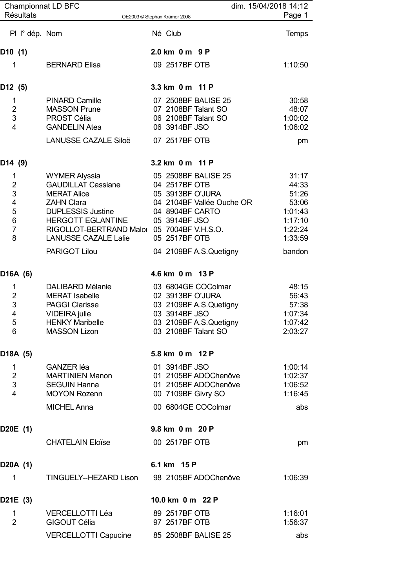| <b>Championnat LD BFC</b><br><b>Résultats</b>                                                   |                                                                                                                                                                                                                                                           | dim. 15/04/2018 14:12<br>OE2003 © Stephan Krämer 2008                                                                                                                                                      | Page 1                                                                                 |
|-------------------------------------------------------------------------------------------------|-----------------------------------------------------------------------------------------------------------------------------------------------------------------------------------------------------------------------------------------------------------|------------------------------------------------------------------------------------------------------------------------------------------------------------------------------------------------------------|----------------------------------------------------------------------------------------|
| PI I° dép. Nom                                                                                  |                                                                                                                                                                                                                                                           | Né Club                                                                                                                                                                                                    | <b>Temps</b>                                                                           |
| D10 (1)                                                                                         |                                                                                                                                                                                                                                                           | 2.0 km 0 m 9 P                                                                                                                                                                                             |                                                                                        |
| 1                                                                                               | <b>BERNARD Elisa</b>                                                                                                                                                                                                                                      | 09 2517BF OTB                                                                                                                                                                                              | 1:10:50                                                                                |
| D12 (5)                                                                                         |                                                                                                                                                                                                                                                           | 3.3 km 0 m 11 P                                                                                                                                                                                            |                                                                                        |
| 1<br>$\overline{2}$<br>$\mathfrak{S}$<br>$\overline{4}$                                         | <b>PINARD Camille</b><br><b>MASSON Prune</b><br><b>PROST Célia</b><br><b>GANDELIN Atea</b><br><b>LANUSSE CAZALE Siloë</b>                                                                                                                                 | 07 2508BF BALISE 25<br>07 2108BF Talant SO<br>06 2108BF Talant SO<br>06 3914BF JSO<br>07 2517BF OTB                                                                                                        | 30:58<br>48:07<br>1:00:02<br>1:06:02<br>pm                                             |
|                                                                                                 |                                                                                                                                                                                                                                                           |                                                                                                                                                                                                            |                                                                                        |
| D14 (9)<br>1<br>$\overline{2}$<br>$\mathsf 3$<br>4<br>5<br>6<br>$\overline{7}$<br>8<br>D16A (6) | <b>WYMER Alyssia</b><br><b>GAUDILLAT Cassiane</b><br><b>MERAT Alice</b><br><b>ZAHN Clara</b><br><b>DUPLESSIS Justine</b><br><b>HERGOTT EGLANTINE</b><br>RIGOLLOT-BERTRAND Malor 05 7004BF V.H.S.O.<br><b>LANUSSE CAZALE Lalie</b><br><b>PARIGOT Lilou</b> | 3.2 km 0 m 11 P<br>05 2508BF BALISE 25<br>04 2517BF OTB<br>05 3913BF O'JURA<br>04 2104BF Vallée Ouche OR<br>04 8904BF CARTO<br>05 3914BF JSO<br>05 2517BF OTB<br>04 2109BF A.S.Quetigny<br>4.6 km 0 m 13 P | 31:17<br>44:33<br>51:26<br>53:06<br>1:01:43<br>1:17:10<br>1:22:24<br>1:33:59<br>bandon |
| 1<br>$\overline{2}$<br>3<br>$\overline{4}$<br>5<br>6                                            | <b>DALIBARD Mélanie</b><br><b>MERAT Isabelle</b><br><b>PAGGI Clarisse</b><br><b>VIDEIRA</b> julie<br><b>HENKY Maribelle</b><br><b>MASSON Lizon</b>                                                                                                        | 03 6804GE COColmar<br>02 3913BF O'JURA<br>03 2109BF A.S.Quetigny<br>03 3914BF JSO<br>03 2109BF A.S.Quetigny<br>03 2108BF Talant SO                                                                         | 48:15<br>56:43<br>57:38<br>1:07:34<br>1:07:42<br>2:03:27                               |
| D18A (5)                                                                                        |                                                                                                                                                                                                                                                           | 5.8 km 0 m 12 P                                                                                                                                                                                            |                                                                                        |
| 1<br>$\overline{2}$<br>3<br>$\overline{4}$                                                      | <b>GANZER</b> léa<br><b>MARTINIEN Manon</b><br><b>SEGUIN Hanna</b><br><b>MOYON Rozenn</b><br><b>MICHEL Anna</b>                                                                                                                                           | 01 3914BF JSO<br>01 2105BF ADOChenôve<br>01 2105BF ADOChenôve<br>00 7109BF Givry SO<br>00 6804GE COColmar                                                                                                  | 1:00:14<br>1:02:37<br>1:06:52<br>1:16:45<br>abs                                        |
| D20E (1)                                                                                        |                                                                                                                                                                                                                                                           | 9.8 km 0 m 20 P                                                                                                                                                                                            |                                                                                        |
|                                                                                                 | <b>CHATELAIN Eloïse</b>                                                                                                                                                                                                                                   | 00 2517BF OTB                                                                                                                                                                                              | pm                                                                                     |
| D20A (1)<br>1                                                                                   | TINGUELY--HEZARD Lison                                                                                                                                                                                                                                    | 6.1 km 15 P<br>98 2105BF ADOChenôve                                                                                                                                                                        | 1:06:39                                                                                |
| D21E (3)                                                                                        |                                                                                                                                                                                                                                                           | 10.0 km 0 m 22 P                                                                                                                                                                                           |                                                                                        |
| 1<br>$\overline{2}$                                                                             | <b>VERCELLOTTI Léa</b><br><b>GIGOUT Célia</b>                                                                                                                                                                                                             | 89 2517BF OTB<br>97 2517BF OTB                                                                                                                                                                             | 1:16:01<br>1:56:37                                                                     |
|                                                                                                 | <b>VERCELLOTTI Capucine</b>                                                                                                                                                                                                                               | 85 2508BF BALISE 25                                                                                                                                                                                        | abs                                                                                    |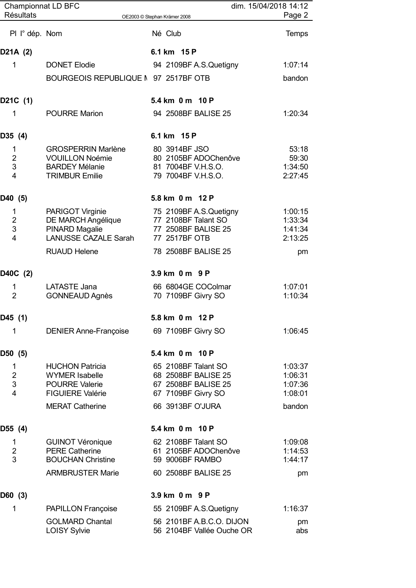| <b>Championnat LD BFC</b><br><b>Résultats</b> |                                                 |                                                       | dim. 15/04/2018 14:12 | Page 2             |
|-----------------------------------------------|-------------------------------------------------|-------------------------------------------------------|-----------------------|--------------------|
|                                               |                                                 | OE2003 © Stephan Krämer 2008                          |                       |                    |
| PI l° dép. Nom                                |                                                 | Né Club                                               |                       | <b>Temps</b>       |
| D21A (2)                                      |                                                 | 6.1 km 15 P                                           |                       |                    |
| $\mathbf 1$                                   | <b>DONET Elodie</b>                             | 94 2109BF A.S.Quetigny                                |                       | 1:07:14            |
|                                               | BOURGEOIS REPUBLIQUE M 97 2517BF OTB            |                                                       |                       | bandon             |
| D21C (1)                                      |                                                 | 5.4 km 0 m 10 P                                       |                       |                    |
| 1                                             | <b>POURRE Marion</b>                            | 94 2508BF BALISE 25                                   |                       | 1:20:34            |
| D35 (4)                                       |                                                 | 6.1 km 15 P                                           |                       |                    |
| 1                                             | <b>GROSPERRIN Marlène</b>                       | 80 3914BF JSO                                         |                       | 53:18              |
| $\overline{2}$<br>3                           | <b>VOUILLON Noémie</b><br><b>BARDEY Mélanie</b> | 80 2105BF ADOChenôve<br>81 7004BF V.H.S.O.            |                       | 59:30<br>1:34:50   |
| $\overline{4}$                                | <b>TRIMBUR Emilie</b>                           | 79 7004BF V.H.S.O.                                    |                       | 2:27:45            |
| D40 (5)                                       |                                                 | 5.8 km 0 m 12 P                                       |                       |                    |
| 1                                             | PARIGOT Virginie                                | 75 2109BF A.S.Quetigny                                |                       | 1:00:15            |
| $\overline{2}$                                | DE MARCH Angélique                              | 77 2108BF Talant SO                                   |                       | 1:33:34            |
| 3                                             | <b>PINARD Magalie</b>                           | 77 2508BF BALISE 25                                   |                       | 1:41:34            |
| $\overline{4}$                                | LANUSSE CAZALE Sarah                            | 77 2517BF OTB                                         |                       | 2:13:25            |
|                                               | <b>RUAUD Helene</b>                             | 78 2508BF BALISE 25                                   |                       | pm                 |
| D40C (2)                                      |                                                 | 3.9 km 0 m 9 P                                        |                       |                    |
| 1                                             | LATASTE Jana                                    | 66 6804GE COColmar                                    |                       | 1:07:01            |
| $\overline{2}$                                | <b>GONNEAUD Agnès</b>                           | 70 7109BF Givry SO                                    |                       | 1:10:34            |
| D45 (1)                                       |                                                 | 5.8 km 0 m 12 P                                       |                       |                    |
| $\mathbf 1$                                   | <b>DENIER Anne-Françoise</b>                    | 69 7109BF Givry SO                                    |                       | 1:06:45            |
| D50 (5)                                       |                                                 | 5.4 km 0 m 10 P                                       |                       |                    |
| 1                                             | <b>HUCHON Patricia</b>                          | 65 2108BF Talant SO                                   |                       | 1:03:37            |
| $\overline{2}$<br>$\sqrt{3}$                  | <b>WYMER Isabelle</b><br><b>POURRE Valerie</b>  | 68 2508BF BALISE 25<br>67 2508BF BALISE 25            |                       | 1:06:31<br>1:07:36 |
| $\overline{4}$                                | <b>FIGUIERE Valérie</b>                         | 67 7109BF Givry SO                                    |                       | 1:08:01            |
|                                               | <b>MERAT Catherine</b>                          | 66 3913BF O'JURA                                      |                       | bandon             |
| D55 (4)                                       |                                                 | 5.4 km 0 m 10 P                                       |                       |                    |
| 1                                             | <b>GUINOT Véronique</b>                         | 62 2108BF Talant SO                                   |                       | 1:09:08            |
| $\overline{2}$                                | <b>PERE Catherine</b>                           | 61 2105BF ADOChenôve                                  |                       | 1:14:53            |
| 3                                             | <b>BOUCHAN Christine</b>                        | 59 9006BF RAMBO                                       |                       | 1:44:17            |
|                                               | <b>ARMBRUSTER Marie</b>                         | 60 2508BF BALISE 25                                   |                       | pm                 |
| D60 (3)                                       |                                                 | 3.9 km 0 m 9 P                                        |                       |                    |
| 1                                             | PAPILLON Françoise                              | 55 2109BF A.S.Quetigny                                |                       | 1:16:37            |
|                                               | <b>GOLMARD Chantal</b><br><b>LOISY Sylvie</b>   | 56 2101BF A.B.C.O. DIJON<br>56 2104BF Vallée Ouche OR |                       | pm<br>abs          |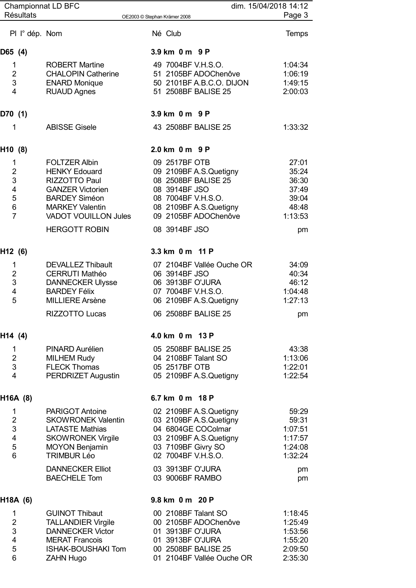|                           | <b>Championnat LD BFC</b>   |                              | dim. 15/04/2018 14:12 |
|---------------------------|-----------------------------|------------------------------|-----------------------|
| <b>Résultats</b>          |                             | OE2003 © Stephan Krämer 2008 | Page 3                |
| PI I° dép. Nom            |                             | Né Club                      | <b>Temps</b>          |
| D65 (4)                   |                             | 3.9 km 0 m 9 P               |                       |
| 1                         | <b>ROBERT Martine</b>       | 49 7004BF V.H.S.O.           | 1:04:34               |
| $\overline{2}$            | <b>CHALOPIN Catherine</b>   | 51 2105BF ADOChenôve         | 1:06:19               |
| 3                         | <b>ENARD Monique</b>        | 50 2101BF A.B.C.O. DIJON     | 1:49:15               |
| $\overline{4}$            | <b>RUAUD Agnes</b>          | 51 2508BF BALISE 25          | 2:00:03               |
| D70 (1)                   |                             | 3.9 km 0 m 9 P               |                       |
| 1                         | <b>ABISSE Gisele</b>        | 43 2508BF BALISE 25          | 1:33:32               |
| H10 (8)                   |                             | 2.0 km 0 m 9 P               |                       |
| $\mathbf{1}$              | <b>FOLTZER Albin</b>        | 09 2517BF OTB                | 27:01                 |
| $\overline{2}$            | <b>HENKY Edouard</b>        | 09 2109BF A.S.Quetigny       | 35:24                 |
| 3                         | <b>RIZZOTTO Paul</b>        | 08 2508BF BALISE 25          | 36:30                 |
| $\overline{4}$            | <b>GANZER Victorien</b>     | 08 3914BF JSO                | 37:49                 |
| 5                         | <b>BARDEY Siméon</b>        | 08 7004BF V.H.S.O.           | 39:04                 |
| $\,6$                     | <b>MARKEY Valentin</b>      | 08 2109BF A.S.Quetigny       | 48:48                 |
| $\overline{7}$            | <b>VADOT VOUILLON Jules</b> | 09 2105BF ADOChenôve         | 1:13:53               |
|                           | <b>HERGOTT ROBIN</b>        | 08 3914BF JSO                | pm                    |
| H12 (6)                   |                             | 3.3 km 0 m 11 P              |                       |
| 1                         | <b>DEVALLEZ Thibault</b>    | 07 2104BF Vallée Ouche OR    | 34:09                 |
| $\overline{2}$            | <b>CERRUTI Mathéo</b>       | 06 3914BF JSO                | 40:34                 |
| 3                         | <b>DANNECKER Ulysse</b>     | 06 3913BF O'JURA             | 46:12                 |
| $\overline{4}$            | <b>BARDEY Félix</b>         | 07 7004BF V.H.S.O.           | 1:04:48               |
| 5                         | <b>MILLIERE Arsène</b>      | 06 2109BF A.S.Quetigny       | 1:27:13               |
|                           | RIZZOTTO Lucas              | 06 2508BF BALISE 25          | pm                    |
| H14 (4)                   |                             | 4.0 km 0 m 13 P              |                       |
| 1                         | PINARD Aurélien             | 05 2508BF BALISE 25          | 43:38                 |
| $\overline{2}$            | <b>MILHEM Rudy</b>          | 04 2108BF Talant SO          | 1:13:06               |
| 3                         | <b>FLECK Thomas</b>         | 05 2517BF OTB                | 1:22:01               |
| $\overline{4}$            | PERDRIZET Augustin          | 05 2109BF A.S.Quetigny       | 1:22:54               |
| H16A (8)                  |                             | 6.7 km 0 m 18 P              |                       |
| 1                         | <b>PARIGOT Antoine</b>      | 02 2109BF A.S.Quetigny       | 59:29                 |
| $\overline{2}$            | <b>SKOWRONEK Valentin</b>   | 03 2109BF A.S.Quetigny       | 59:31                 |
| $\ensuremath{\mathsf{3}}$ | <b>LATASTE Mathias</b>      | 04 6804GE COColmar           | 1:07:51               |
| $\overline{\mathbf{4}}$   | <b>SKOWRONEK Virgile</b>    | 03 2109BF A.S.Quetigny       | 1:17:57               |
| 5                         | <b>MOYON Benjamin</b>       | 03 7109BF Givry SO           | 1:24:08               |
| $6\phantom{1}6$           | <b>TRIMBUR Léo</b>          | 02 7004BF V.H.S.O.           | 1:32:24               |
|                           | <b>DANNECKER Elliot</b>     | 03 3913BF O'JURA             | pm                    |
|                           | <b>BAECHELE Tom</b>         | 03 9006BF RAMBO              | pm                    |
| H18A (6)                  |                             | 9.8 km 0 m 20 P              |                       |
| 1                         | <b>GUINOT Thibaut</b>       | 00 2108BF Talant SO          | 1:18:45               |
| $\overline{2}$            | <b>TALLANDIER Virgile</b>   | 00 2105BF ADOChenôve         | 1:25:49               |
| 3                         | <b>DANNECKER Victor</b>     | 01 3913BF O'JURA             | 1:53:56               |
| $\overline{\mathbf{4}}$   | <b>MERAT Francois</b>       | 01 3913BF O'JURA             | 1:55:20               |
| 5                         | <b>ISHAK-BOUSHAKI Tom</b>   | 00 2508BF BALISE 25          | 2:09:50               |
| 6                         | <b>ZAHN Hugo</b>            | 01 2104BF Vallée Ouche OR    | 2:35:30               |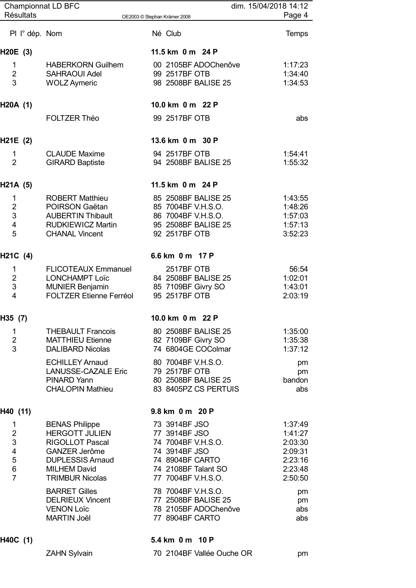| <b>Championnat LD BFC</b> |                                                          |                                           | dim. 15/04/2018 14:12 |
|---------------------------|----------------------------------------------------------|-------------------------------------------|-----------------------|
| <b>Résultats</b>          |                                                          | OE2003 © Stephan Krämer 2008              | Page 4                |
| PI I° dép. Nom            |                                                          | Né Club                                   | <b>Temps</b>          |
| H20E (3)                  |                                                          | 11.5 km 0 m 24 P                          |                       |
| 1                         | <b>HABERKORN Guilhem</b>                                 | 00 2105BF ADOChenôve                      | 1:17:23               |
| $\overline{2}$<br>3       | <b>SAHRAOUI Adel</b>                                     | 99 2517BF OTB<br>98 2508BF BALISE 25      | 1:34:40               |
|                           | <b>WOLZ Aymeric</b>                                      |                                           | 1:34:53               |
| H20A (1)                  |                                                          | 10.0 km 0 m 22 P                          |                       |
|                           | <b>FOLTZER Théo</b>                                      | 99 2517BF OTB                             | abs                   |
| H21E (2)                  |                                                          | 13.6 km 0 m 30 P                          |                       |
| 1                         | <b>CLAUDE Maxime</b>                                     | 94 2517BF OTB                             | 1:54:41               |
| $\overline{2}$            | <b>GIRARD Baptiste</b>                                   | 94 2508BF BALISE 25                       | 1:55:32               |
| H21A (5)                  |                                                          | 11.5 km 0 m 24 P                          |                       |
| 1                         | <b>ROBERT Matthieu</b>                                   | 85 2508BF BALISE 25                       | 1:43:55               |
| $\overline{2}$<br>3       | POIRSON Gaëtan<br><b>AUBERTIN Thibault</b>               | 85 7004BF V.H.S.O.<br>86 7004BF V.H.S.O.  | 1:48:26<br>1:57:03    |
| $\overline{4}$            | <b>RUDKIEWICZ Martin</b>                                 | 95 2508BF BALISE 25                       | 1:57:13               |
| 5                         | <b>CHANAL Vincent</b>                                    | 92 2517BF OTB                             | 3:52:23               |
| H21C (4)                  |                                                          | 6.6 km 0 m 17 P                           |                       |
| 1                         | <b>FLICOTEAUX Emmanuel</b>                               | 2517BF OTB                                | 56:54                 |
| $\overline{2}$            | <b>LONCHAMPT Loïc</b>                                    | 84 2508BF BALISE 25                       | 1:02:01               |
| 3<br>$\overline{4}$       | <b>MUNIER Benjamin</b><br><b>FOLTZER Etienne Ferréol</b> | 85 7109BF Givry SO<br>95 2517BF OTB       | 1:43:01<br>2:03:19    |
|                           |                                                          |                                           |                       |
| H35 (7)                   |                                                          | 10.0 km 0 m 22 P                          |                       |
| $\mathbf 1$               | <b>THEBAULT Francois</b>                                 | 80 2508BF BALISE 25                       | 1:35:00               |
| $\overline{2}$<br>3       | <b>MATTHIEU Etienne</b><br><b>DALIBARD Nicolas</b>       | 82 7109BF Givry SO<br>74 6804GE COColmar  | 1:35:38<br>1:37:12    |
|                           | <b>ECHILLEY Arnaud</b>                                   | 80 7004BF V.H.S.O.                        | pm                    |
|                           | <b>LANUSSE-CAZALE Eric</b>                               | 79 2517BF OTB                             | pm                    |
|                           | PINARD Yann                                              | 80 2508BF BALISE 25                       | bandon                |
|                           | <b>CHALOPIN Mathieu</b>                                  | 83 8405PZ CS PERTUIS                      | abs                   |
| H40 (11)                  |                                                          | 9.8 km 0 m 20 P                           |                       |
| 1                         | <b>BENAS Philippe</b>                                    | 73 3914BF JSO                             | 1:37:49               |
| $\overline{2}$<br>3       | <b>HERGOTT JULIEN</b>                                    | 77 3914BF JSO                             | 1:41:27               |
| $\overline{\mathbf{4}}$   | <b>RIGOLLOT Pascal</b><br><b>GANZER Jerôme</b>           | 74 7004BF V.H.S.O.<br>74 3914BF JSO       | 2:03:30<br>2:09:31    |
| 5                         | <b>DUPLESSIS Arnaud</b>                                  | 74 8904BF CARTO                           | 2:23:16               |
| 6                         | <b>MILHEM David</b>                                      | 74 2108BF Talant SO                       | 2:23:48               |
| $\overline{7}$            | <b>TRIMBUR Nicolas</b>                                   | 77 7004BF V.H.S.O.                        | 2:50:50               |
|                           | <b>BARRET Gilles</b><br><b>DELRIEUX Vincent</b>          | 78 7004BF V.H.S.O.<br>77 2508BF BALISE 25 | pm<br>pm              |
|                           | <b>VENON Loïc</b>                                        | 78 2105BF ADOChenôve                      | abs                   |
|                           | <b>MARTIN Joël</b>                                       | 77 8904BF CARTO                           | abs                   |
| H40C (1)                  |                                                          | 5.4 km 0 m 10 P                           |                       |
|                           | <b>ZAHN Sylvain</b>                                      | 70 2104BF Vallée Ouche OR                 | pm                    |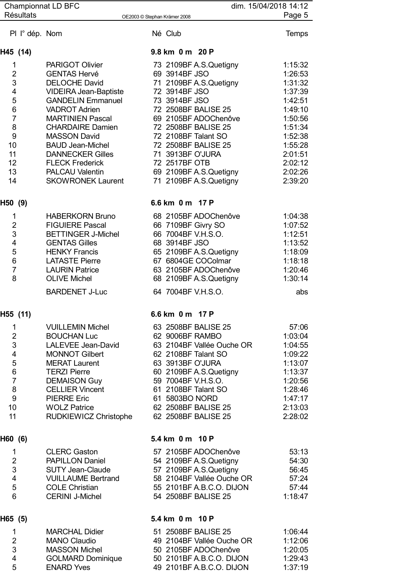| <b>Championnat LD BFC</b>     |                                                 | dim. 15/04/2018 14:12                            |                    |
|-------------------------------|-------------------------------------------------|--------------------------------------------------|--------------------|
| <b>Résultats</b>              |                                                 | OE2003 © Stephan Krämer 2008                     | Page 5             |
| PI I° dép. Nom                |                                                 | Né Club                                          | Temps              |
| H45 (14)                      |                                                 | 9.8 km 0 m 20 P                                  |                    |
| 1                             | <b>PARIGOT Olivier</b>                          | 73 2109BF A.S.Quetigny                           | 1:15:32            |
| $\overline{2}$                | <b>GENTAS Hervé</b>                             | 69 3914BF JSO                                    | 1:26:53            |
| 3                             | <b>DELOCHE David</b>                            | 71 2109BF A.S.Quetigny                           | 1:31:32            |
| 4                             | <b>VIDEIRA Jean-Baptiste</b>                    | 72 3914BF JSO                                    | 1:37:39            |
| 5                             | <b>GANDELIN Emmanuel</b>                        | 73 3914BF JSO                                    | 1:42:51            |
| 6<br>$\overline{7}$           | <b>VADROT Adrien</b><br><b>MARTINIEN Pascal</b> | 72 2508BF BALISE 25<br>69 2105BF ADOChenôve      | 1:49:10            |
| 8                             | <b>CHARDAIRE Damien</b>                         | 72 2508BF BALISE 25                              | 1:50:56<br>1:51:34 |
| 9                             | <b>MASSON David</b>                             | 72 2108BF Talant SO                              | 1:52:38            |
| 10                            | <b>BAUD Jean-Michel</b>                         | 72 2508BF BALISE 25                              | 1:55:28            |
| 11                            | <b>DANNECKER Gilles</b>                         | 71 3913BF O'JURA                                 | 2:01:51            |
| 12                            | <b>FLECK Frederick</b>                          | 72 2517BF OTB                                    | 2:02:12            |
| 13                            | <b>PALCAU Valentin</b>                          | 69 2109BF A.S.Quetigny                           | 2:02:26            |
| 14                            | <b>SKOWRONEK Laurent</b>                        | 71 2109BF A.S.Quetigny                           | 2:39:20            |
| H50 (9)                       |                                                 | 6.6 km 0 m 17 P                                  |                    |
| 1                             | <b>HABERKORN Bruno</b>                          | 68 2105BF ADOChenôve                             | 1:04:38            |
| $\overline{c}$                | <b>FIGUIERE Pascal</b>                          | 66 7109BF Givry SO                               | 1:07:52            |
| 3                             | <b>BETTINGER J-Michel</b>                       | 66 7004BF V.H.S.O.                               | 1:12:51            |
| $\overline{\mathbf{4}}$       | <b>GENTAS Gilles</b>                            | 68 3914BF JSO                                    | 1:13:52            |
| 5                             | <b>HENKY Francis</b>                            | 65 2109BF A.S.Quetigny                           | 1:18:09            |
| $\,6$<br>$\overline{7}$       | <b>LATASTE Pierre</b><br><b>LAURIN Patrice</b>  | 67 6804GE COColmar<br>63 2105BF ADOChenôve       | 1:18:18<br>1:20:46 |
| 8                             | <b>OLIVE Michel</b>                             | 68 2109BF A.S.Quetigny                           | 1:30:14            |
|                               | <b>BARDENET J-Luc</b>                           | 64 7004BF V.H.S.O.                               | abs                |
|                               |                                                 |                                                  |                    |
| H55 (11)                      |                                                 | 6.6 km 0 m 17 P                                  |                    |
| 1                             | <b>VUILLEMIN Michel</b>                         | 63 2508BF BALISE 25                              | 57:06              |
| $\overline{2}$                | <b>BOUCHAN Luc</b>                              | 62 9006BF RAMBO                                  | 1:03:04            |
| 3                             | LALEVEE Jean-David                              | 63 2104BF Vallée Ouche OR                        | 1:04:55            |
| $\overline{\mathbf{4}}$<br>5  | <b>MONNOT Gilbert</b><br><b>MERAT Laurent</b>   | 62 2108BF Talant SO<br>63 3913BF O'JURA          | 1:09:22<br>1:13:07 |
| $\,6$                         | <b>TERZI Pierre</b>                             | 60 2109BF A.S.Quetigny                           | 1:13:37            |
| $\overline{7}$                | <b>DEMAISON Guy</b>                             | 59 7004BF V.H.S.O.                               | 1:20:56            |
| 8                             | <b>CELLIER Vincent</b>                          | 61 2108BF Talant SO                              | 1:28:46            |
| 9                             | <b>PIERRE Eric</b>                              | 61 5803BO NORD                                   | 1:47:17            |
| 10                            | <b>WOLZ Patrice</b>                             | 62 2508BF BALISE 25                              | 2:13:03            |
| 11                            | RUDKIEWICZ Christophe                           | 62 2508BF BALISE 25                              | 2:28:02            |
| H60 (6)                       |                                                 | 5.4 km 0 m 10 P                                  |                    |
| $\mathbf 1$                   | <b>CLERC Gaston</b>                             | 57 2105BF ADOChenôve                             | 53:13              |
| $\overline{2}$                | <b>PAPILLON Daniel</b>                          | 54 2109BF A.S.Quetigny                           | 54:30              |
| 3                             | <b>SUTY Jean-Claude</b>                         | 57 2109BF A.S.Quetigny                           | 56:45              |
| $\overline{4}$                | <b>VUILLAUME Bertrand</b>                       | 58 2104BF Vallée Ouche OR                        | 57:24              |
| 5<br>$6\phantom{a}$           | <b>COLE Christian</b><br><b>CERINI J-Michel</b> | 55 2101BF A.B.C.O. DIJON<br>54 2508BF BALISE 25  | 57:44<br>1:18:47   |
| H65 (5)                       |                                                 | 5.4 km 0 m 10 P                                  |                    |
|                               |                                                 |                                                  |                    |
| $\mathbf 1$<br>$\overline{2}$ | <b>MARCHAL Didier</b><br><b>MANO Claudio</b>    | 51 2508BF BALISE 25<br>49 2104BF Vallée Ouche OR | 1:06:44<br>1:12:06 |
| 3                             | <b>MASSON Michel</b>                            | 50 2105BF ADOChenôve                             | 1:20:05            |
| $\overline{4}$                | <b>GOLMARD Dominique</b>                        | 50 2101BF A.B.C.O. DIJON                         | 1:29:43            |
| 5                             | <b>ENARD Yves</b>                               | 49 2101BF A.B.C.O. DIJON                         | 1:37:19            |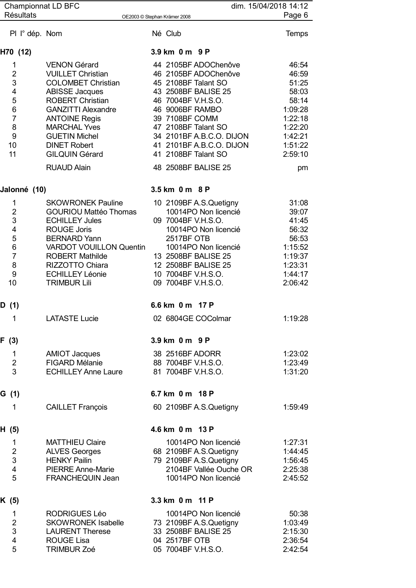| <b>Championnat LD BFC</b>                                                       |                                                                                                                                                                                                                                                                                                            | dim. 15/04/2018 14:12                                                                                                                                                                                                                                                              |                                                                                                                   |
|---------------------------------------------------------------------------------|------------------------------------------------------------------------------------------------------------------------------------------------------------------------------------------------------------------------------------------------------------------------------------------------------------|------------------------------------------------------------------------------------------------------------------------------------------------------------------------------------------------------------------------------------------------------------------------------------|-------------------------------------------------------------------------------------------------------------------|
| <b>Résultats</b>                                                                |                                                                                                                                                                                                                                                                                                            | OE2003 © Stephan Krämer 2008                                                                                                                                                                                                                                                       | Page 6                                                                                                            |
| PI I° dép. Nom                                                                  |                                                                                                                                                                                                                                                                                                            | Né Club                                                                                                                                                                                                                                                                            | <b>Temps</b>                                                                                                      |
| H70 (12)                                                                        |                                                                                                                                                                                                                                                                                                            | 3.9 km 0 m 9 P                                                                                                                                                                                                                                                                     |                                                                                                                   |
| 1<br>$\overline{2}$<br>3<br>4<br>5<br>6<br>$\overline{7}$<br>8<br>9<br>10<br>11 | <b>VENON Gérard</b><br><b>VUILLET Christian</b><br><b>COLOMBET Christian</b><br><b>ABISSE Jacques</b><br><b>ROBERT Christian</b><br><b>GANZITTI Alexandre</b><br><b>ANTOINE Regis</b><br><b>MARCHAL Yves</b><br><b>GUETIN Michel</b><br><b>DINET Robert</b><br><b>GILQUIN Gérard</b><br><b>RUAUD Alain</b> | 44 2105BF ADOChenôve<br>46 2105BF ADOChenôve<br>45 2108BF Talant SO<br>43 2508BF BALISE 25<br>46 7004BF V.H.S.O.<br>46 9006BF RAMBO<br>39 7108BF COMM<br>47 2108BF Talant SO<br>34 2101BF A.B.C.O. DIJON<br>41 2101BF A.B.C.O. DIJON<br>41 2108BF Talant SO<br>48 2508BF BALISE 25 | 46:54<br>46:59<br>51:25<br>58:03<br>58:14<br>1:09:28<br>1:22:18<br>1:22:20<br>1:42:21<br>1:51:22<br>2:59:10<br>pm |
| Jalonné (10)                                                                    |                                                                                                                                                                                                                                                                                                            | 3.5 km 0 m 8 P                                                                                                                                                                                                                                                                     |                                                                                                                   |
| 1<br>$\overline{2}$<br>3<br>4<br>5<br>6<br>$\overline{7}$<br>8<br>9<br>10       | <b>SKOWRONEK Pauline</b><br><b>GOURIOU Mattéo Thomas</b><br><b>ECHILLEY Jules</b><br><b>ROUGE Joris</b><br><b>BERNARD Yann</b><br><b>VARDOT VOUILLON Quentin</b><br><b>ROBERT Mathilde</b><br>RIZZOTTO Chiara<br><b>ECHILLEY Léonie</b><br><b>TRIMBUR Lili</b>                                             | 10 2109BF A.S.Quetigny<br>10014PO Non licencié<br>09 7004BF V.H.S.O.<br>10014PO Non licencié<br>2517BF OTB<br>10014PO Non licencié<br>13 2508BF BALISE 25<br>12 2508BF BALISE 25<br>10 7004BF V.H.S.O.<br>09 7004BF V.H.S.O.                                                       | 31:08<br>39:07<br>41:45<br>56:32<br>56:53<br>1:15:52<br>1:19:37<br>1:23:31<br>1:44:17<br>2:06:42                  |
| D (1)                                                                           |                                                                                                                                                                                                                                                                                                            | 6.6 km 0 m 17 P                                                                                                                                                                                                                                                                    |                                                                                                                   |
| 1                                                                               | <b>LATASTE Lucie</b>                                                                                                                                                                                                                                                                                       | 02 6804GE COColmar                                                                                                                                                                                                                                                                 | 1:19:28                                                                                                           |
| F(3)                                                                            |                                                                                                                                                                                                                                                                                                            | 3.9 km 0 m 9 P                                                                                                                                                                                                                                                                     |                                                                                                                   |
| $\mathbf{1}$<br>$\overline{2}$<br>3                                             | <b>AMIOT Jacques</b><br><b>FIGARD Mélanie</b><br><b>ECHILLEY Anne Laure</b>                                                                                                                                                                                                                                | 38 2516BF ADORR<br>88 7004BF V.H.S.O.<br>81 7004BF V.H.S.O.                                                                                                                                                                                                                        | 1:23:02<br>1:23:49<br>1:31:20                                                                                     |
| G (1)                                                                           |                                                                                                                                                                                                                                                                                                            | 6.7 km 0 m 18 P                                                                                                                                                                                                                                                                    |                                                                                                                   |
| 1                                                                               | <b>CAILLET François</b>                                                                                                                                                                                                                                                                                    | 60 2109BF A.S.Quetigny                                                                                                                                                                                                                                                             | 1:59:49                                                                                                           |
| H (5)                                                                           |                                                                                                                                                                                                                                                                                                            | 4.6 km 0 m 13 P                                                                                                                                                                                                                                                                    |                                                                                                                   |
| 1<br>$\overline{2}$<br>3<br>$\overline{\mathbf{4}}$<br>5                        | <b>MATTHIEU Claire</b><br><b>ALVES Georges</b><br><b>HENKY Pailin</b><br><b>PIERRE Anne-Marie</b><br>FRANCHEQUIN Jean                                                                                                                                                                                      | 10014PO Non licencié<br>68 2109BF A.S.Quetigny<br>79 2109BF A.S.Quetigny<br>2104BF Vallée Ouche OR<br>10014PO Non licencié                                                                                                                                                         | 1:27:31<br>1:44:45<br>1:56:45<br>2:25:38<br>2:45:52                                                               |
| K (5)                                                                           |                                                                                                                                                                                                                                                                                                            | 3.3 km 0 m 11 P                                                                                                                                                                                                                                                                    |                                                                                                                   |
| 1<br>$\overline{2}$<br>$\mathsf 3$<br>$\overline{\mathbf{4}}$<br>5              | <b>RODRIGUES Léo</b><br><b>SKOWRONEK Isabelle</b><br><b>LAURENT Therese</b><br><b>ROUGE Lisa</b><br><b>TRIMBUR Zoé</b>                                                                                                                                                                                     | 10014PO Non licencié<br>73 2109BF A.S.Quetigny<br>33 2508BF BALISE 25<br>04 2517BF OTB<br>05 7004BF V.H.S.O.                                                                                                                                                                       | 50:38<br>1:03:49<br>2:15:30<br>2:36:54<br>2:42:54                                                                 |